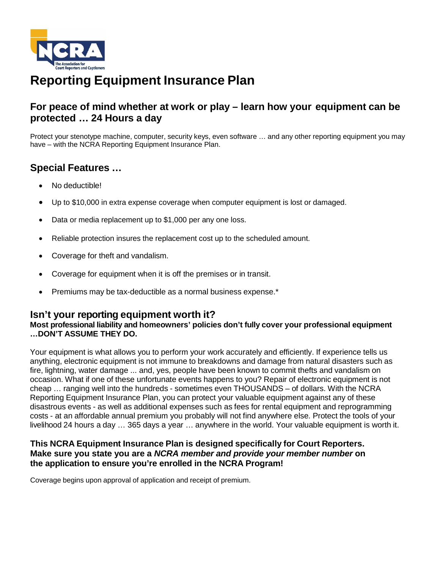

# **Reporting Equipment Insurance Plan**

## **For peace of mind whether at work or play – learn how your equipment can be protected … 24 Hours a day**

Protect your stenotype machine, computer, security keys, even software … and any other reporting equipment you may have – with the NCRA Reporting Equipment Insurance Plan.

## **Special Features …**

- No deductible!
- Up to \$10,000 in extra expense coverage when computer equipment is lost or damaged.
- Data or media replacement up to \$1,000 per any one loss.
- Reliable protection insures the replacement cost up to the scheduled amount.
- Coverage for theft and vandalism.
- Coverage for equipment when it is off the premises or in transit.
- Premiums may be tax-deductible as a normal business expense.\*

## **Isn't your reporting equipment worth it?**

## **Most professional liability and homeowners' policies don't fully cover your professional equipment …DON'T ASSUME THEY DO.**

Your equipment is what allows you to perform your work accurately and efficiently. If experience tells us anything, electronic equipment is not immune to breakdowns and damage from natural disasters such as fire, lightning, water damage ... and, yes, people have been known to commit thefts and vandalism on occasion. What if one of these unfortunate events happens to you? Repair of electronic equipment is not cheap … ranging well into the hundreds - sometimes even THOUSANDS – of dollars. With the NCRA Reporting Equipment Insurance Plan, you can protect your valuable equipment against any of these disastrous events - as well as additional expenses such as fees for rental equipment and reprogramming costs - at an affordable annual premium you probably will not find anywhere else. Protect the tools of your livelihood 24 hours a day … 365 days a year … anywhere in the world. Your valuable equipment is worth it.

## **This NCRA Equipment Insurance Plan is designed specifically for Court Reporters. Make sure you state you are a** *NCRA member and provide your member number* **on the application to ensure you're enrolled in the NCRA Program!**

Coverage begins upon approval of application and receipt of premium.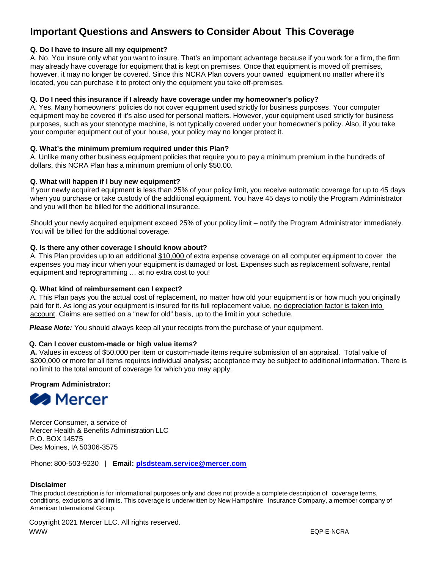## **Important Questions and Answers to Consider About This Coverage**

## **Q. Do I have to insure all my equipment?**

A. No. You insure only what you want to insure. That's an important advantage because if you work for a firm, the firm may already have coverage for equipment that is kept on premises. Once that equipment is moved off premises, however, it may no longer be covered. Since this NCRA Plan covers your owned equipment no matter where it's located, you can purchase it to protect only the equipment you take off-premises.

## **Q. Do I need this insurance if I already have coverage under my homeowner's policy?**

A. Yes. Many homeowners' policies do not cover equipment used strictly for business purposes. Your computer equipment may be covered if it's also used for personal matters. However, your equipment used strictly for business purposes, such as your stenotype machine, is not typically covered under your homeowner's policy. Also, if you take your computer equipment out of your house, your policy may no longer protect it.

## **Q. What's the minimum premium required under this Plan?**

A. Unlike many other business equipment policies that require you to pay a minimum premium in the hundreds of dollars, this NCRA Plan has a minimum premium of only \$50.00.

## **Q. What will happen if I buy new equipment?**

If your newly acquired equipment is less than 25% of your policy limit, you receive automatic coverage for up to 45 days when you purchase or take custody of the additional equipment. You have 45 days to notify the Program Administrator and you will then be billed for the additional insurance.

Should your newly acquired equipment exceed 25% of your policy limit – notify the Program Administrator immediately. You will be billed for the additional coverage.

## **Q. Is there any other coverage I should know about?**

A. This Plan provides up to an additional \$10,000 of extra expense coverage on all computer equipment to cover the expenses you may incur when your equipment is damaged or lost. Expenses such as replacement software, rental equipment and reprogramming ... at no extra cost to you!

## **Q. What kind of reimbursement can I expect?**

A. This Plan pays you the actual cost of replacement, no matter how old your equipment is or how much you originally paid for it. As long as your equipment is insured for its full replacement value, no depreciation factor is taken into account. Claims are settled on a "new for old" basis, up to the limit in your schedule.

**Please Note:** You should always keep all your receipts from the purchase of your equipment.

## **Q. Can I cover custom-made or high value items?**

**A.** Values in excess of \$50,000 per item or custom-made items require submission of an appraisal. Total value of \$200,000 or more for all items requires individual analysis; acceptance may be subject to additional information. There is no limit to the total amount of coverage for which you may apply.

## **Program Administrator:**



Mercer Consumer, a service of Mercer Health & Benefits Administration LLC P.O. BOX 14575 Des Moines, IA 50306-3575

Phone: 800-503-9230 | **Email: [plsdsteam.service@mercer.com](mailto:plsdsteam.service@mercer.com)**

## **Disclaimer**

This product description is for informational purposes only and does not provide a complete description of coverage terms, conditions, exclusions and limits. This coverage is underwritten by New Hampshire Insurance Company, a member company of American International Group.

Copyright 2021 Mercer LLC. All rights reserved. WWW EQP-E-NCRA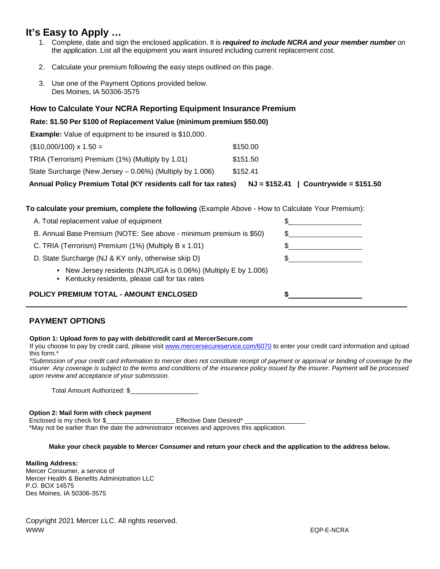## **It's Easy to Apply …**

- 1. Complete, date and sign the enclosed application. It is *required to include NCRA and your member number* on the application. List all the equipment you want insured including current replacement cost.
- 2. Calculate your premium following the easy steps outlined on this page.
- 3. Use one of the Payment Options provided below. Des Moines, IA 50306-3575

## **How to Calculate Your NCRA Reporting Equipment Insurance Premium**

### **Rate: \$1.50 Per \$100 of Replacement Value (minimum premium \$50.00)**

**Example:** Value of equipment to be insured is \$10,000.

| Annual Policy Premium Total (KY residents call for tax rates) | $NJ = $152.41$   Countrywide = \$151.50 |
|---------------------------------------------------------------|-----------------------------------------|
| State Surcharge (New Jersey – 0.06%) (Multiply by 1.006)      | \$152.41                                |
| TRIA (Terrorism) Premium (1%) (Multiply by 1.01)              | \$151.50                                |
| $($10,000/100) \times 1.50 =$                                 | \$150.00                                |

**To calculate your premium, complete the following** (Example Above - How to Calculate Your Premium):

| POLICY PREMIUM TOTAL - AMOUNT ENCLOSED                                                                                        |     |
|-------------------------------------------------------------------------------------------------------------------------------|-----|
| New Jersey residents (NJPLIGA is 0.06%) (Multiply E by 1.006)<br>$\bullet$<br>• Kentucky residents, please call for tax rates |     |
| D. State Surcharge (NJ & KY only, otherwise skip D)                                                                           |     |
| C. TRIA (Terrorism) Premium (1%) (Multiply B x 1.01)                                                                          |     |
| B. Annual Base Premium (NOTE: See above - minimum premium is \$50)                                                            | \$. |
| A. Total replacement value of equipment                                                                                       |     |

## **PAYMENT OPTIONS**

#### **Option 1: Upload form to pay with debit/credit card at MercerSecure.com**

If you choose to pay by credit card, please visit [www.mercersecureservice.com/6070](http://www.mercersecureservice.com/6070) to enter your credit card information and upload this form.\*

*\*Submission of your credit card information to mercer does not constitute receipt of payment or approval or binding of coverage by the insurer. Any coverage is subject to the terms and conditions of the insurance policy issued by the insurer. Payment will be processed upon review and acceptance of your submission.*

Total Amount Authorized: \$

#### **Option 2: Mail form with check payment**

Enclosed is my check for \$ Effective Date Desired\* \*May not be earlier than the date the administrator receives and approves this application.

**Make your check payable to Mercer Consumer and return your check and the application to the address below.**

#### **Mailing Address:**

Mercer Consumer, a service of Mercer Health & Benefits Administration LLC P.O. BOX 14575 Des Moines, IA 50306-3575

Copyright 2021 Mercer LLC. All rights reserved. www.com/www.com/www.com/www.com/www.com/www.com/www.com/www.com/www.com/www.com/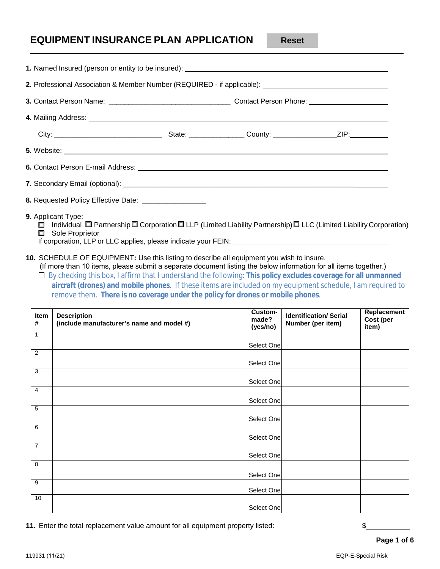## **EQUIPMENT INSURANCE PLAN APPLICATION**

**Reset** 

| 2. Professional Association & Member Number (REQUIRED - if applicable): ____________________________                                                                                                                                 |  |  |
|--------------------------------------------------------------------------------------------------------------------------------------------------------------------------------------------------------------------------------------|--|--|
|                                                                                                                                                                                                                                      |  |  |
| 4. Mailing Address: <u>example and a series of the series of the series of the series of the series of the series of the series of the series of the series of the series of the series of the series of the series of the serie</u> |  |  |
|                                                                                                                                                                                                                                      |  |  |
| 5. Website:                                                                                                                                                                                                                          |  |  |
|                                                                                                                                                                                                                                      |  |  |
|                                                                                                                                                                                                                                      |  |  |
| 8. Requested Policy Effective Date: ___________________                                                                                                                                                                              |  |  |
| <b>9.</b> Applicant Type:<br>$\Box$ Individual $\Box$ Partnership $\Box$ Corporation $\Box$ LLP (Limited Liability Partnership) $\Box$ LLC (Limited Liability Corporation)<br>Sole Proprietor<br>Π.                                  |  |  |

|                | . Named Insured (person or entity to be insured): _______________________________                                                                                                                                                                                                                                                                                                                                                                                                                                                                             |                   |                              |                    |
|----------------|---------------------------------------------------------------------------------------------------------------------------------------------------------------------------------------------------------------------------------------------------------------------------------------------------------------------------------------------------------------------------------------------------------------------------------------------------------------------------------------------------------------------------------------------------------------|-------------------|------------------------------|--------------------|
|                |                                                                                                                                                                                                                                                                                                                                                                                                                                                                                                                                                               |                   |                              |                    |
|                |                                                                                                                                                                                                                                                                                                                                                                                                                                                                                                                                                               |                   |                              |                    |
|                |                                                                                                                                                                                                                                                                                                                                                                                                                                                                                                                                                               |                   |                              |                    |
|                |                                                                                                                                                                                                                                                                                                                                                                                                                                                                                                                                                               |                   |                              |                    |
|                |                                                                                                                                                                                                                                                                                                                                                                                                                                                                                                                                                               |                   |                              |                    |
|                |                                                                                                                                                                                                                                                                                                                                                                                                                                                                                                                                                               |                   |                              |                    |
|                |                                                                                                                                                                                                                                                                                                                                                                                                                                                                                                                                                               |                   |                              |                    |
|                | . Requested Policy Effective Date: __________________                                                                                                                                                                                                                                                                                                                                                                                                                                                                                                         |                   |                              |                    |
| Item           | 0. SCHEDULE OF EQUIPMENT: Use this listing to describe all equipment you wish to insure.<br>(If more than 10 items, please submit a separate document listing the below information for all items together.)<br>$\Box$ By checking this box, I affirm that I understand the following: This policy excludes coverage for all unmanned<br>aircraft (drones) and mobile phones. If these items are included on my equipment schedule, I am required to<br>remove them. There is no coverage under the policy for drones or mobile phones.<br><b>Description</b> | Custom-           | <b>Identification/Serial</b> | Replacement        |
| #              | (include manufacturer's name and model #)                                                                                                                                                                                                                                                                                                                                                                                                                                                                                                                     | made?<br>(yes/no) | Number (per item)            | Cost (per<br>item) |
| $\mathbf{1}$   |                                                                                                                                                                                                                                                                                                                                                                                                                                                                                                                                                               | Select One        |                              |                    |
| $\overline{2}$ |                                                                                                                                                                                                                                                                                                                                                                                                                                                                                                                                                               | Select One        |                              |                    |
| 3              |                                                                                                                                                                                                                                                                                                                                                                                                                                                                                                                                                               |                   |                              |                    |
|                |                                                                                                                                                                                                                                                                                                                                                                                                                                                                                                                                                               |                   |                              |                    |
| 4              |                                                                                                                                                                                                                                                                                                                                                                                                                                                                                                                                                               | Select One        |                              |                    |
| 5              |                                                                                                                                                                                                                                                                                                                                                                                                                                                                                                                                                               | Select One        |                              |                    |
| 6              |                                                                                                                                                                                                                                                                                                                                                                                                                                                                                                                                                               | Select One        |                              |                    |
| $\overline{7}$ |                                                                                                                                                                                                                                                                                                                                                                                                                                                                                                                                                               | Select One        |                              |                    |
| 8              |                                                                                                                                                                                                                                                                                                                                                                                                                                                                                                                                                               | Select One        |                              |                    |
| 9              |                                                                                                                                                                                                                                                                                                                                                                                                                                                                                                                                                               | Select One        |                              |                    |
| 10             |                                                                                                                                                                                                                                                                                                                                                                                                                                                                                                                                                               | Select One        |                              |                    |

**11.** Enter the total replacement value amount for all equipment property listed:  $\$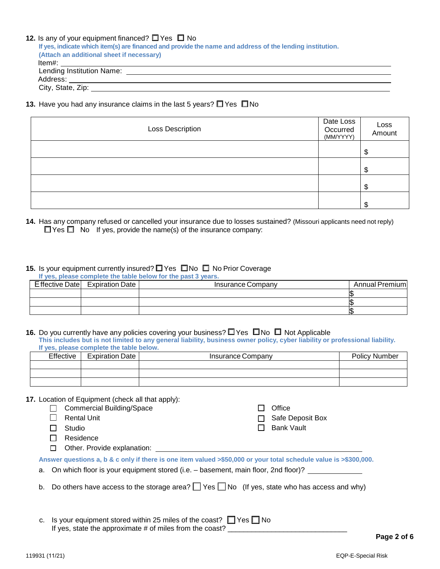### **12.** Is any of your equipment financed?  $\Box$  Yes  $\Box$  No

**If yes, indicate which item(s) are financed and provide the name and address of the lending institution. (Attach an additional sheet if necessary)** Item#: Lending Institution Name: Address: City, State, Zip: 2008. Example 2008. The City State of The City State 2008. The City State of The City State 30.

**13.** Have you had any insurance claims in the last 5 years?  $\Box$  Yes  $\Box$  No

| Loss Description | Date Loss<br>Occurred<br>(MM/YYYY) | Loss<br>Amount |
|------------------|------------------------------------|----------------|
|                  |                                    | \$             |
|                  |                                    | \$             |
|                  |                                    | \$             |
|                  |                                    | S              |

**14.** Has any company refused or cancelled your insurance due to losses sustained? (Missouri applicants need not reply)  $\Box$  Yes  $\Box$  No If yes, provide the name(s) of the insurance company:

## **15.** Is your equipment currently insured? □ Yes □ No □ No Prior Coverage

|                                | If yes, please complete the table below for the past 3 years. |                        |
|--------------------------------|---------------------------------------------------------------|------------------------|
| Effective Date Expiration Date | Insurance Company                                             | <b>Annual Premiuml</b> |
|                                |                                                               |                        |
|                                |                                                               |                        |
|                                |                                                               |                        |

#### **16.** Do you currently have any policies covering your business?  $\Box$  Yes  $\Box$  No  $\Box$  Not Applicable **This includes but is not limited to any general liability, business owner policy, cyber liability or professional liability. If yes, please complete the table below.**

|           | <b>II</b> YOU, MIUGOU UUIIIMIUGU GIIU GAMIU MUIUTII. |                   |                      |
|-----------|------------------------------------------------------|-------------------|----------------------|
| Effective | <b>Expiration Date</b>                               | Insurance Company | <b>Policy Number</b> |
|           |                                                      |                   |                      |
|           |                                                      |                   |                      |
|           |                                                      |                   |                      |

### **17.** Location of Equipment (check all that apply):

- Commercial Building/Space  $\Box$  Rental Unit □ Studio □ Residence  $\Box$  Office  $\Box$  Safe Deposit Box □ Bank Vault □ Other. Provide explanation: <u>□ □</u> **Answer questions a, b & c only if there is one item valued >\$50,000 or your total schedule value is >\$300,000.** a. On which floor is your equipment stored (i.e. – basement, main floor, 2nd floor)? b. Do others have access to the storage area?  $\Box$  Yes  $\Box$  No (If yes, state who has access and why)
- c. Is your equipment stored within 25 miles of the coast?  $\Box$  Yes  $\Box$  No If yes, state the approximate # of miles from the coast? \_\_\_\_\_\_\_\_\_\_\_\_\_\_\_\_\_\_\_\_\_\_\_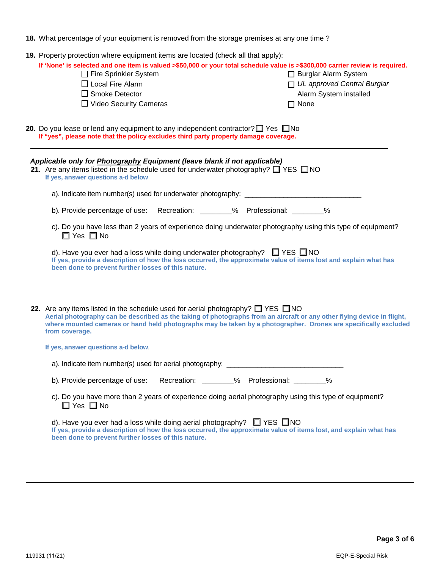| 18. What percentage of your equipment is removed from the storage premises at any one time?                                                                                                                                                                                                                                                                |                                                                                                       |
|------------------------------------------------------------------------------------------------------------------------------------------------------------------------------------------------------------------------------------------------------------------------------------------------------------------------------------------------------------|-------------------------------------------------------------------------------------------------------|
| 19. Property protection where equipment items are located (check all that apply):<br>If 'None' is selected and one item is valued >\$50,000 or your total schedule value is >\$300,000 carrier review is required.<br>□ Fire Sprinkler System<br>$\Box$ Local Fire Alarm<br>$\Box$ Smoke Detector<br>$\Box$ Video Security Cameras                         | □ Burglar Alarm System<br>$\Box$ UL approved Central Burglar<br>Alarm System installed<br>$\Box$ None |
| <b>20.</b> Do you lease or lend any equipment to any independent contractor? $\Box$ Yes $\Box$ No<br>If "yes", please note that the policy excludes third party property damage coverage.                                                                                                                                                                  |                                                                                                       |
| Applicable only for <b>Photography Equipment</b> (leave blank if not applicable)<br>21. Are any items listed in the schedule used for underwater photography? $\Box$ YES $\Box$ NO<br>If yes, answer questions a-d below                                                                                                                                   |                                                                                                       |
|                                                                                                                                                                                                                                                                                                                                                            |                                                                                                       |
| b). Provide percentage of use: Recreation: _______% Professional: _______%                                                                                                                                                                                                                                                                                 |                                                                                                       |
| c). Do you have less than 2 years of experience doing underwater photography using this type of equipment?<br>$\Box$ Yes $\Box$ No                                                                                                                                                                                                                         |                                                                                                       |
| d). Have you ever had a loss while doing underwater photography? $\Box$ YES $\Box$ NO<br>If yes, provide a description of how the loss occurred, the approximate value of items lost and explain what has<br>been done to prevent further losses of this nature.                                                                                           |                                                                                                       |
| 22. Are any items listed in the schedule used for aerial photography? $\Box$ YES $\Box$ NO<br>Aerial photography can be described as the taking of photographs from an aircraft or any other flying device in flight,<br>where mounted cameras or hand held photographs may be taken by a photographer. Drones are specifically excluded<br>from coverage. |                                                                                                       |
| If yes, answer questions a-d below.                                                                                                                                                                                                                                                                                                                        |                                                                                                       |
|                                                                                                                                                                                                                                                                                                                                                            |                                                                                                       |
| b). Provide percentage of use: Recreation: ________% Professional: ________%                                                                                                                                                                                                                                                                               |                                                                                                       |
| c). Do you have more than 2 years of experience doing aerial photography using this type of equipment?<br>$\Box$ Yes $\Box$ No                                                                                                                                                                                                                             |                                                                                                       |
| d). Have you ever had a loss while doing aerial photography? $\Box$ YES $\Box$ NO<br>If yes, provide a description of how the loss occurred, the approximate value of items lost, and explain what has<br>been done to prevent further losses of this nature.                                                                                              |                                                                                                       |
|                                                                                                                                                                                                                                                                                                                                                            |                                                                                                       |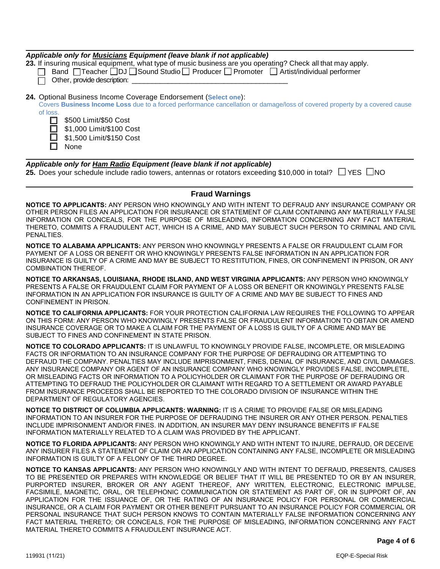|          | Applicable only for Musicians Equipment (leave blank if not applicable)<br>23. If insuring musical equipment, what type of music business are you operating? Check all that may apply.<br>Band   Teacher IDJ I Sound Studio   Producer   Promoter   Artist/individual performer<br>Other, provide description: |
|----------|----------------------------------------------------------------------------------------------------------------------------------------------------------------------------------------------------------------------------------------------------------------------------------------------------------------|
| of loss. | 24. Optional Business Income Coverage Endorsement (Select one):<br>Covers Business Income Loss due to a forced performance cancellation or damage/loss of covered property by a covered cause<br>\$500 Limit/\$50 Cost<br>\$1,000 Limit/\$100 Cost<br>\$1,500 Limit/\$150 Cost<br>None                         |

| Applicable only for Ham Radio Equipment (leave blank if not applicable)                                             |  |
|---------------------------------------------------------------------------------------------------------------------|--|
| 25. Does your schedule include radio towers, antennas or rotators exceeding \$10,000 in total? $\Box$ YES $\Box$ NO |  |

### **Fraud Warnings**

**NOTICE TO APPLICANTS:** ANY PERSON WHO KNOWINGLY AND WITH INTENT TO DEFRAUD ANY INSURANCE COMPANY OR OTHER PERSON FILES AN APPLICATION FOR INSURANCE OR STATEMENT OF CLAIM CONTAINING ANY MATERIALLY FALSE INFORMATION OR CONCEALS, FOR THE PURPOSE OF MISLEADING, INFORMATION CONCERNING ANY FACT MATERIAL THERETO, COMMITS A FRAUDULENT ACT, WHICH IS A CRIME, AND MAY SUBJECT SUCH PERSON TO CRIMINAL AND CIVIL PENALTIES.

**NOTICE TO ALABAMA APPLICANTS:** ANY PERSON WHO KNOWINGLY PRESENTS A FALSE OR FRAUDULENT CLAIM FOR PAYMENT OF A LOSS OR BENEFIT OR WHO KNOWINGLY PRESENTS FALSE INFORMATION IN AN APPLICATION FOR INSURANCE IS GUILTY OF A CRIME AND MAY BE SUBJECT TO RESTITUTION, FINES, OR CONFINEMENT IN PRISON, OR ANY COMBINATION THEREOF.

**NOTICE TO ARKANSAS, LOUISIANA, RHODE ISLAND, AND WEST VIRGINIA APPLICANTS:** ANY PERSON WHO KNOWINGLY PRESENTS A FALSE OR FRAUDULENT CLAIM FOR PAYMENT OF A LOSS OR BENEFIT OR KNOWINGLY PRESENTS FALSE INFORMATION IN AN APPLICATION FOR INSURANCE IS GUILTY OF A CRIME AND MAY BE SUBJECT TO FINES AND CONFINEMENT IN PRISON.

**NOTICE TO CALIFORNIA APPLICANTS:** FOR YOUR PROTECTION CALIFORNIA LAW REQUIRES THE FOLLOWING TO APPEAR ON THIS FORM: ANY PERSON WHO KNOWINGLY PRESENTS FALSE OR FRAUDULENT INFORMATION TO OBTAIN OR AMEND INSURANCE COVERAGE OR TO MAKE A CLAIM FOR THE PAYMENT OF A LOSS IS GUILTY OF A CRIME AND MAY BE SUBJECT TO FINES AND CONFINEMENT IN STATE PRISON.

**NOTICE TO COLORADO APPLICANTS:** IT IS UNLAWFUL TO KNOWINGLY PROVIDE FALSE, INCOMPLETE, OR MISLEADING FACTS OR INFORMATION TO AN INSURANCE COMPANY FOR THE PURPOSE OF DEFRAUDING OR ATTEMPTING TO DEFRAUD THE COMPANY. PENALTIES MAY INCLUDE IMPRISONMENT, FINES, DENIAL OF INSURANCE, AND CIVIL DAMAGES. ANY INSURANCE COMPANY OR AGENT OF AN INSURANCE COMPANY WHO KNOWINGLY PROVIDES FALSE, INCOMPLETE, OR MISLEADING FACTS OR INFORMATION TO A POLICYHOLDER OR CLAIMANT FOR THE PURPOSE OF DEFRAUDING OR ATTEMPTING TO DEFRAUD THE POLICYHOLDER OR CLAIMANT WITH REGARD TO A SETTLEMENT OR AWARD PAYABLE FROM INSURANCE PROCEEDS SHALL BE REPORTED TO THE COLORADO DIVISION OF INSURANCE WITHIN THE DEPARTMENT OF REGULATORY AGENCIES.

**NOTICE TO DISTRICT OF COLUMBIA APPLICANTS: WARNING:** IT IS A CRIME TO PROVIDE FALSE OR MISLEADING INFORMATION TO AN INSURER FOR THE PURPOSE OF DEFRAUDING THE INSURER OR ANY OTHER PERSON. PENALTIES INCLUDE IMPRISONMENT AND/OR FINES. IN ADDITION, AN INSURER MAY DENY INSURANCE BENEFITS IF FALSE INFORMATION MATERIALLY RELATED TO A CLAIM WAS PROVIDED BY THE APPLICANT.

**NOTICE TO FLORIDA APPLICANTS:** ANY PERSON WHO KNOWINGLY AND WITH INTENT TO INJURE, DEFRAUD, OR DECEIVE ANY INSURER FILES A STATEMENT OF CLAIM OR AN APPLICATION CONTAINING ANY FALSE, INCOMPLETE OR MISLEADING INFORMATION IS GUILTY OF A FELONY OF THE THIRD DEGREE.

**NOTICE TO KANSAS APPLICANTS:** ANY PERSON WHO KNOWINGLY AND WITH INTENT TO DEFRAUD, PRESENTS, CAUSES TO BE PRESENTED OR PREPARES WITH KNOWLEDGE OR BELIEF THAT IT WILL BE PRESENTED TO OR BY AN INSURER, PURPORTED INSURER, BROKER OR ANY AGENT THEREOF, ANY WRITTEN, ELECTRONIC, ELECTRONIC IMPULSE, FACSIMILE, MAGNETIC, ORAL, OR TELEPHONIC COMMUNICATION OR STATEMENT AS PART OF, OR IN SUPPORT OF, AN APPLICATION FOR THE ISSUANCE OF, OR THE RATING OF AN INSURANCE POLICY FOR PERSONAL OR COMMERCIAL INSURANCE, OR A CLAIM FOR PAYMENT OR OTHER BENEFIT PURSUANT TO AN INSURANCE POLICY FOR COMMERCIAL OR PERSONAL INSURANCE THAT SUCH PERSON KNOWS TO CONTAIN MATERIALLY FALSE INFORMATION CONCERNING ANY FACT MATERIAL THERETO; OR CONCEALS, FOR THE PURPOSE OF MISLEADING, INFORMATION CONCERNING ANY FACT MATERIAL THERETO COMMITS A FRAUDULENT INSURANCE ACT.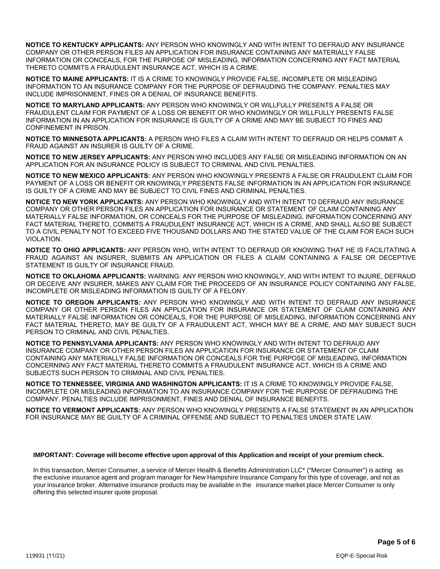**NOTICE TO KENTUCKY APPLICANTS:** ANY PERSON WHO KNOWINGLY AND WITH INTENT TO DEFRAUD ANY INSURANCE COMPANY OR OTHER PERSON FILES AN APPLICATION FOR INSURANCE CONTAINING ANY MATERIALLY FALSE INFORMATION OR CONCEALS, FOR THE PURPOSE OF MISLEADING, INFORMATION CONCERNING ANY FACT MATERIAL THERETO COMMITS A FRAUDULENT INSURANCE ACT, WHICH IS A CRIME.

**NOTICE TO MAINE APPLICANTS:** IT IS A CRIME TO KNOWINGLY PROVIDE FALSE, INCOMPLETE OR MISLEADING INFORMATION TO AN INSURANCE COMPANY FOR THE PURPOSE OF DEFRAUDING THE COMPANY. PENALTIES MAY INCLUDE IMPRISONMENT, FINES OR A DENIAL OF INSURANCE BENEFITS.

**NOTICE TO MARYLAND APPLICANTS:** ANY PERSON WHO KNOWINGLY OR WILLFULLY PRESENTS A FALSE OR FRAUDULENT CLAIM FOR PAYMENT OF A LOSS OR BENEFIT OR WHO KNOWINGLY OR WILLFULLY PRESENTS FALSE INFORMATION IN AN APPLICATION FOR INSURANCE IS GUILTY OF A CRIME AND MAY BE SUBJECT TO FINES AND CONFINEMENT IN PRISON.

**NOTICE TO MINNESOTA APPLICANTS:** A PERSON WHO FILES A CLAIM WITH INTENT TO DEFRAUD OR HELPS COMMIT A FRAUD AGAINST AN INSURER IS GUILTY OF A CRIME.

**NOTICE TO NEW JERSEY APPLICANTS:** ANY PERSON WHO INCLUDES ANY FALSE OR MISLEADING INFORMATION ON AN APPLICATION FOR AN INSURANCE POLICY IS SUBJECT TO CRIMINAL AND CIVIL PENALTIES.

**NOTICE TO NEW MEXICO APPLICANTS:** ANY PERSON WHO KNOWINGLY PRESENTS A FALSE OR FRAUDULENT CLAIM FOR PAYMENT OF A LOSS OR BENEFIT OR KNOWINGLY PRESENTS FALSE INFORMATION IN AN APPLICATION FOR INSURANCE IS GUILTY OF A CRIME AND MAY BE SUBJECT TO CIVIL FINES AND CRIMINAL PENALTIES.

**NOTICE TO NEW YORK APPLICANTS:** ANY PERSON WHO KNOWINGLY AND WITH INTENT TO DEFRAUD ANY INSURANCE COMPANY OR OTHER PERSON FILES AN APPLICATION FOR INSURANCE OR STATEMENT OF CLAIM CONTAINING ANY MATERIALLY FALSE INFORMATION, OR CONCEALS FOR THE PURPOSE OF MISLEADING, INFORMATION CONCERNING ANY FACT MATERIAL THERETO, COMMITS A FRAUDULENT INSURANCE ACT, WHICH IS A CRIME, AND SHALL ALSO BE SUBJECT TO A CIVIL PENALTY NOT TO EXCEED FIVE THOUSAND DOLLARS AND THE STATED VALUE OF THE CLAIM FOR EACH SUCH VIOLATION.

**NOTICE TO OHIO APPLICANTS:** ANY PERSON WHO, WITH INTENT TO DEFRAUD OR KNOWING THAT HE IS FACILITATING A FRAUD AGAINST AN INSURER, SUBMITS AN APPLICATION OR FILES A CLAIM CONTAINING A FALSE OR DECEPTIVE STATEMENT IS GUILTY OF INSURANCE FRAUD.

**NOTICE TO OKLAHOMA APPLICANTS:** WARNING: ANY PERSON WHO KNOWINGLY, AND WITH INTENT TO INJURE, DEFRAUD OR DECEIVE ANY INSURER, MAKES ANY CLAIM FOR THE PROCEEDS OF AN INSURANCE POLICY CONTAINING ANY FALSE, INCOMPLETE OR MISLEADING INFORMATION IS GUILTY OF A FELONY.

**NOTICE TO OREGON APPLICANTS:** ANY PERSON WHO KNOWINGLY AND WITH INTENT TO DEFRAUD ANY INSURANCE COMPANY OR OTHER PERSON FILES AN APPLICATION FOR INSURANCE OR STATEMENT OF CLAIM CONTAINING ANY MATERIALLY FALSE INFORMATION OR CONCEALS, FOR THE PURPOSE OF MISLEADING, INFORMATION CONCERNING ANY FACT MATERIAL THERETO, MAY BE GUILTY OF A FRAUDULENT ACT, WHICH MAY BE A CRIME, AND MAY SUBJECT SUCH PERSON TO CRIMINAL AND CIVIL PENALTIES.

**NOTICE TO PENNSYLVANIA APPLICANTS:** ANY PERSON WHO KNOWINGLY AND WITH INTENT TO DEFRAUD ANY INSURANCE COMPANY OR OTHER PERSON FILES AN APPLICATION FOR INSURANCE OR STATEMENT OF CLAIM CONTAINING ANY MATERIALLY FALSE INFORMATION OR CONCEALS FOR THE PURPOSE OF MISLEADING, INFORMATION CONCERNING ANY FACT MATERIAL THERETO COMMITS A FRAUDULENT INSURANCE ACT, WHICH IS A CRIME AND SUBJECTS SUCH PERSON TO CRIMINAL AND CIVIL PENALTIES.

**NOTICE TO TENNESSEE, VIRGINIA AND WASHINGTON APPLICANTS:** IT IS A CRIME TO KNOWINGLY PROVIDE FALSE, INCOMPLETE OR MISLEADING INFORMATION TO AN INSURANCE COMPANY FOR THE PURPOSE OF DEFRAUDING THE COMPANY. PENALTIES INCLUDE IMPRISONMENT, FINES AND DENIAL OF INSURANCE BENEFITS.

**NOTICE TO VERMONT APPLICANTS:** ANY PERSON WHO KNOWINGLY PRESENTS A FALSE STATEMENT IN AN APPLICATION FOR INSURANCE MAY BE GUILTY OF A CRIMINAL OFFENSE AND SUBJECT TO PENALTIES UNDER STATE LAW.

#### **IMPORTANT: Coverage will become effective upon approval of this Application and receipt of your premium check.**

In this transaction, Mercer Consumer, a service of Mercer Health & Benefits Administration LLC\* ("Mercer Consumer") is acting as the exclusive insurance agent and program manager for New Hampshire Insurance Company for this type of coverage, and not as your insurance broker. Alternative insurance products may be available in the insurance market place Mercer Consumer is only offering this selected insurer quote proposal.